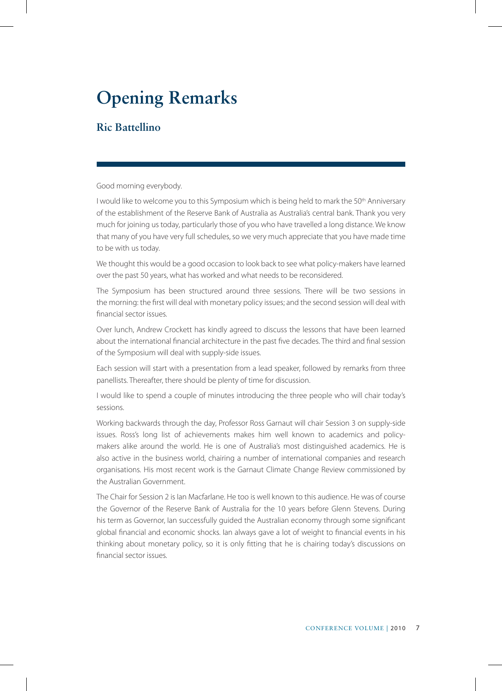## **Opening Remarks**

## **Ric Battellino**

Good morning everybody.

I would like to welcome you to this Symposium which is being held to mark the 50<sup>th</sup> Anniversary of the establishment of the Reserve Bank of Australia as Australia's central bank. Thank you very much for joining us today, particularly those of you who have travelled a long distance. We know that many of you have very full schedules, so we very much appreciate that you have made time to be with us today.

We thought this would be a good occasion to look back to see what policy-makers have learned over the past 50 years, what has worked and what needs to be reconsidered.

The Symposium has been structured around three sessions. There will be two sessions in the morning: the first will deal with monetary policy issues; and the second session will deal with financial sector issues.

Over lunch, Andrew Crockett has kindly agreed to discuss the lessons that have been learned about the international financial architecture in the past five decades. The third and final session of the Symposium will deal with supply-side issues.

Each session will start with a presentation from a lead speaker, followed by remarks from three panellists. Thereafter, there should be plenty of time for discussion.

I would like to spend a couple of minutes introducing the three people who will chair today's sessions.

Working backwards through the day, Professor Ross Garnaut will chair Session 3 on supply-side issues. Ross's long list of achievements makes him well known to academics and policymakers alike around the world. He is one of Australia's most distinguished academics. He is also active in the business world, chairing a number of international companies and research organisations. His most recent work is the Garnaut Climate Change Review commissioned by the Australian Government.

The Chair for Session 2 is Ian Macfarlane. He too is well known to this audience. He was of course the Governor of the Reserve Bank of Australia for the 10 years before Glenn Stevens. During his term as Governor, Ian successfully guided the Australian economy through some significant global financial and economic shocks. Ian always gave a lot of weight to financial events in his thinking about monetary policy, so it is only fitting that he is chairing today's discussions on financial sector issues.